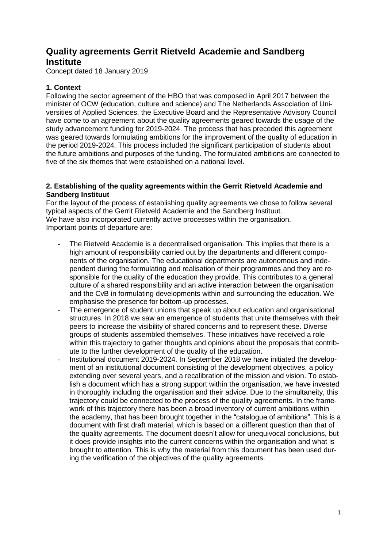# **Quality agreements Gerrit Rietveld Academie and Sandberg Institute**

Concept dated 18 January 2019

# **1. Context**

Following the sector agreement of the HBO that was composed in April 2017 between the minister of OCW (education, culture and science) and The Netherlands Association of Universities of Applied Sciences, the Executive Board and the Representative Advisory Council have come to an agreement about the quality agreements geared towards the usage of the study advancement funding for 2019-2024. The process that has preceded this agreement was geared towards formulating ambitions for the improvement of the quality of education in the period 2019-2024. This process included the significant participation of students about the future ambitions and purposes of the funding. The formulated ambitions are connected to five of the six themes that were established on a national level.

# **2. Establishing of the quality agreements within the Gerrit Rietveld Academie and Sandberg Instituut**

For the layout of the process of establishing quality agreements we chose to follow several typical aspects of the Gerrit Rietveld Academie and the Sandberg Instituut. We have also incorporated currently active processes within the organisation. Important points of departure are:

- The Rietveld Academie is a decentralised organisation. This implies that there is a high amount of responsibility carried out by the departments and different components of the organisation. The educational departments are autonomous and independent during the formulating and realisation of their programmes and they are responsible for the quality of the education they provide. This contributes to a general culture of a shared responsibility and an active interaction between the organisation and the CvB in formulating developments within and surrounding the education. We emphasise the presence for bottom-up processes.
- The emergence of student unions that speak up about education and organisational structures. In 2018 we saw an emergence of students that unite themselves with their peers to increase the visibility of shared concerns and to represent these. Diverse groups of students assembled themselves. These initiatives have received a role within this trajectory to gather thoughts and opinions about the proposals that contribute to the further development of the quality of the education.
- Institutional document 2019-2024. In September 2018 we have initiated the development of an institutional document consisting of the development objectives, a policy extending over several years, and a recalibration of the mission and vision. To establish a document which has a strong support within the organisation, we have invested in thoroughly including the organisation and their advice. Due to the simultaneity, this trajectory could be connected to the process of the quality agreements. In the framework of this trajectory there has been a broad inventory of current ambitions within the academy, that has been brought together in the "catalogue of ambitions". This is a document with first draft material, which is based on a different question than that of the quality agreements. The document doesn't allow for unequivocal conclusions, but it does provide insights into the current concerns within the organisation and what is brought to attention. This is why the material from this document has been used during the verification of the objectives of the quality agreements.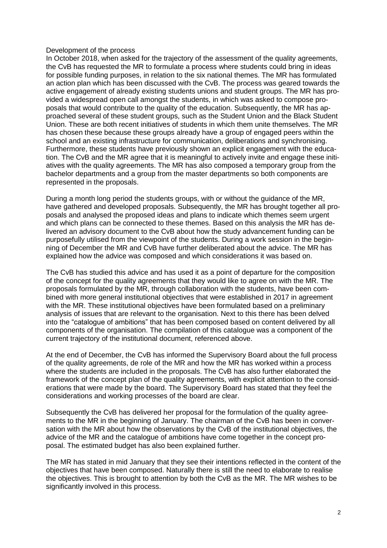#### Development of the process

In October 2018, when asked for the trajectory of the assessment of the quality agreements, the CvB has requested the MR to formulate a process where students could bring in ideas for possible funding purposes, in relation to the six national themes. The MR has formulated an action plan which has been discussed with the CvB. The process was geared towards the active engagement of already existing students unions and student groups. The MR has provided a widespread open call amongst the students, in which was asked to compose proposals that would contribute to the quality of the education. Subsequently, the MR has approached several of these student groups, such as the Student Union and the Black Student Union. These are both recent initiatives of students in which them unite themselves. The MR has chosen these because these groups already have a group of engaged peers within the school and an existing infrastructure for communication, deliberations and synchronising. Furthermore, these students have previously shown an explicit engagement with the education. The CvB and the MR agree that it is meaningful to actively invite and engage these initiatives with the quality agreements. The MR has also composed a temporary group from the bachelor departments and a group from the master departments so both components are represented in the proposals.

During a month long period the students groups, with or without the guidance of the MR, have gathered and developed proposals. Subsequently, the MR has brought together all proposals and analysed the proposed ideas and plans to indicate which themes seem urgent and which plans can be connected to these themes. Based on this analysis the MR has delivered an advisory document to the CvB about how the study advancement funding can be purposefully utilised from the viewpoint of the students. During a work session in the beginning of December the MR and CvB have further deliberated about the advice. The MR has explained how the advice was composed and which considerations it was based on.

The CvB has studied this advice and has used it as a point of departure for the composition of the concept for the quality agreements that they would like to agree on with the MR. The proposals formulated by the MR, through collaboration with the students, have been combined with more general institutional objectives that were established in 2017 in agreement with the MR. These institutional objectives have been formulated based on a preliminary analysis of issues that are relevant to the organisation. Next to this there has been delved into the "catalogue of ambitions" that has been composed based on content delivered by all components of the organisation. The compilation of this catalogue was a component of the current trajectory of the institutional document, referenced above.

At the end of December, the CvB has informed the Supervisory Board about the full process of the quality agreements, de role of the MR and how the MR has worked within a process where the students are included in the proposals. The CvB has also further elaborated the framework of the concept plan of the quality agreements, with explicit attention to the considerations that were made by the board. The Supervisory Board has stated that they feel the considerations and working processes of the board are clear.

Subsequently the CvB has delivered her proposal for the formulation of the quality agreements to the MR in the beginning of January. The chairman of the CvB has been in conversation with the MR about how the observations by the CvB of the institutional objectives, the advice of the MR and the catalogue of ambitions have come together in the concept proposal. The estimated budget has also been explained further.

The MR has stated in mid January that they see their intentions reflected in the content of the objectives that have been composed. Naturally there is still the need to elaborate to realise the objectives. This is brought to attention by both the CvB as the MR. The MR wishes to be significantly involved in this process.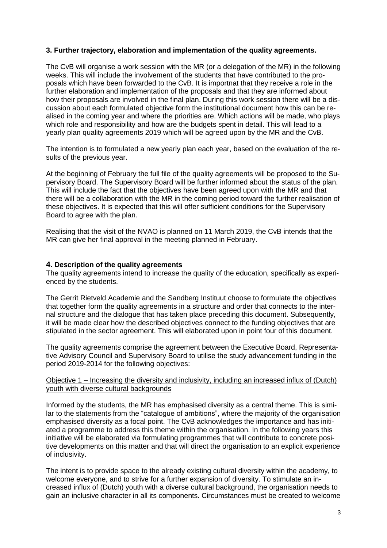# **3. Further trajectory, elaboration and implementation of the quality agreements.**

The CvB will organise a work session with the MR (or a delegation of the MR) in the following weeks. This will include the involvement of the students that have contributed to the proposals which have been forwarded to the CvB. It is importnat that they receive a role in the further elaboration and implementation of the proposals and that they are informed about how their proposals are involved in the final plan. During this work session there will be a discussion about each formulated objective form the institutional document how this can be realised in the coming year and where the priorities are. Which actions will be made, who plays which role and responsibility and how are the budgets spent in detail. This will lead to a yearly plan quality agreements 2019 which will be agreed upon by the MR and the CvB.

The intention is to formulated a new yearly plan each year, based on the evaluation of the results of the previous year.

At the beginning of February the full file of the quality agreements will be proposed to the Supervisory Board. The Supervisory Board will be further informed about the status of the plan. This will include the fact that the objectives have been agreed upon with the MR and that there will be a collaboration with the MR in the coming period toward the further realisation of these objectives. It is expected that this will offer sufficient conditions for the Supervisory Board to agree with the plan.

Realising that the visit of the NVAO is planned on 11 March 2019, the CvB intends that the MR can give her final approval in the meeting planned in February.

#### **4. Description of the quality agreements**

The quality agreements intend to increase the quality of the education, specifically as experienced by the students.

The Gerrit Rietveld Academie and the Sandberg Instituut choose to formulate the objectives that together form the quality agreements in a structure and order that connects to the internal structure and the dialogue that has taken place preceding this document. Subsequently, it will be made clear how the described objectives connect to the funding objectives that are stipulated in the sector agreement. This will elaborated upon in point four of this document.

The quality agreements comprise the agreement between the Executive Board, Representative Advisory Council and Supervisory Board to utilise the study advancement funding in the period 2019-2014 for the following objectives:

### Objective 1 – Increasing the diversity and inclusivity, including an increased influx of (Dutch) youth with diverse cultural backgrounds

Informed by the students, the MR has emphasised diversity as a central theme. This is similar to the statements from the "catalogue of ambitions", where the majority of the organisation emphasised diversity as a focal point. The CvB acknowledges the importance and has initiated a programme to address this theme within the organisation. In the following years this initiative will be elaborated via formulating programmes that will contribute to concrete positive developments on this matter and that will direct the organisation to an explicit experience of inclusivity.

The intent is to provide space to the already existing cultural diversity within the academy, to welcome everyone, and to strive for a further expansion of diversity. To stimulate an increased influx of (Dutch) youth with a diverse cultural background, the organisation needs to gain an inclusive character in all its components. Circumstances must be created to welcome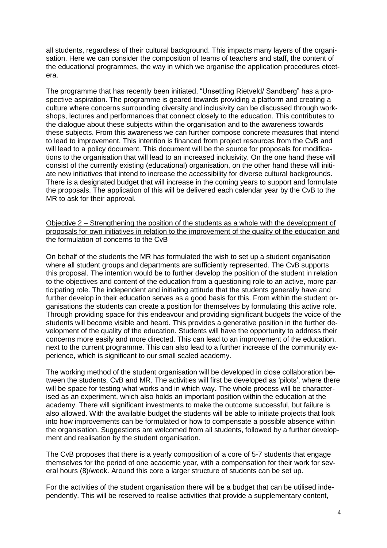all students, regardless of their cultural background. This impacts many layers of the organisation. Here we can consider the composition of teams of teachers and staff, the content of the educational programmes, the way in which we organise the application procedures etcetera.

The programme that has recently been initiated, "Unsettling Rietveld/ Sandberg" has a prospective aspiration. The programme is geared towards providing a platform and creating a culture where concerns surrounding diversity and inclusivity can be discussed through workshops, lectures and performances that connect closely to the education. This contributes to the dialogue about these subjects within the organisation and to the awareness towards these subjects. From this awareness we can further compose concrete measures that intend to lead to improvement. This intention is financed from project resources from the CvB and will lead to a policy document. This document will be the source for proposals for modifications to the organisation that will lead to an increased inclusivity. On the one hand these will consist of the currently existing (educational) organisation, on the other hand these will initiate new initiatives that intend to increase the accessibility for diverse cultural backgrounds. There is a designated budget that will increase in the coming years to support and formulate the proposals. The application of this will be delivered each calendar year by the CvB to the MR to ask for their approval.

#### Objective 2 – Strengthening the position of the students as a whole with the development of proposals for own initiatives in relation to the improvement of the quality of the education and the formulation of concerns to the CvB

On behalf of the students the MR has formulated the wish to set up a student organisation where all student groups and departments are sufficiently represented. The CvB supports this proposal. The intention would be to further develop the position of the student in relation to the objectives and content of the education from a questioning role to an active, more participating role. The independent and initiating attitude that the students generally have and further develop in their education serves as a good basis for this. From within the student organisations the students can create a position for themselves by formulating this active role. Through providing space for this endeavour and providing significant budgets the voice of the students will become visible and heard. This provides a generative position in the further development of the quality of the education. Students will have the opportunity to address their concerns more easily and more directed. This can lead to an improvement of the education, next to the current programme. This can also lead to a further increase of the community experience, which is significant to our small scaled academy.

The working method of the student organisation will be developed in close collaboration between the students, CvB and MR. The activities will first be developed as 'pilots', where there will be space for testing what works and in which way. The whole process will be characterised as an experiment, which also holds an important position within the education at the academy. There will significant investments to make the outcome successful, but failure is also allowed. With the available budget the students will be able to initiate projects that look into how improvements can be formulated or how to compensate a possible absence within the organisation. Suggestions are welcomed from all students, followed by a further development and realisation by the student organisation.

The CvB proposes that there is a yearly composition of a core of 5-7 students that engage themselves for the period of one academic year, with a compensation for their work for several hours (8)/week. Around this core a larger structure of students can be set up.

For the activities of the student organisation there will be a budget that can be utilised independently. This will be reserved to realise activities that provide a supplementary content,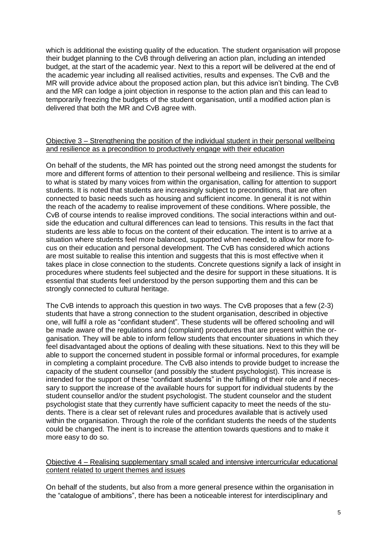which is additional the existing quality of the education. The student organisation will propose their budget planning to the CvB through delivering an action plan, including an intended budget, at the start of the academic year. Next to this a report will be delivered at the end of the academic year including all realised activities, results and expenses. The CvB and the MR will provide advice about the proposed action plan, but this advice isn't binding. The CvB and the MR can lodge a joint objection in response to the action plan and this can lead to temporarily freezing the budgets of the student organisation, until a modified action plan is delivered that both the MR and CvB agree with.

#### Objective 3 – Strengthening the position of the individual student in their personal wellbeing and resilience as a precondition to productively engage with their education

On behalf of the students, the MR has pointed out the strong need amongst the students for more and different forms of attention to their personal wellbeing and resilience. This is similar to what is stated by many voices from within the organisation, calling for attention to support students. It is noted that students are increasingly subject to preconditions, that are often connected to basic needs such as housing and sufficient income. In general it is not within the reach of the academy to realise improvement of these conditions. Where possible, the CvB of course intends to realise improved conditions. The social interactions within and outside the education and cultural differences can lead to tensions. This results in the fact that students are less able to focus on the content of their education. The intent is to arrive at a situation where students feel more balanced, supported when needed, to allow for more focus on their education and personal development. The CvB has considered which actions are most suitable to realise this intention and suggests that this is most effective when it takes place in close connection to the students. Concrete questions signify a lack of insight in procedures where students feel subjected and the desire for support in these situations. It is essential that students feel understood by the person supporting them and this can be strongly connected to cultural heritage.

The CvB intends to approach this question in two ways. The CvB proposes that a few (2-3) students that have a strong connection to the student organisation, described in objective one, will fulfil a role as "confidant student". These students will be offered schooling and will be made aware of the regulations and (complaint) procedures that are present within the organisation. They will be able to inform fellow students that encounter situations in which they feel disadvantaged about the options of dealing with these situations. Next to this they will be able to support the concerned student in possible formal or informal procedures, for example in completing a complaint procedure. The CvB also intends to provide budget to increase the capacity of the student counsellor (and possibly the student psychologist). This increase is intended for the support of these "confidant students" in the fulfilling of their role and if necessary to support the increase of the available hours for support for individual students by the student counsellor and/or the student psychologist. The student counselor and the student psychologist state that they currently have sufficient capacity to meet the needs of the students. There is a clear set of relevant rules and procedures available that is actively used within the organisation. Through the role of the confidant students the needs of the students could be changed. The inent is to increase the attention towards questions and to make it more easy to do so.

#### Objective 4 – Realising supplementary small scaled and intensive intercurricular educational content related to urgent themes and issues

On behalf of the students, but also from a more general presence within the organisation in the "catalogue of ambitions", there has been a noticeable interest for interdisciplinary and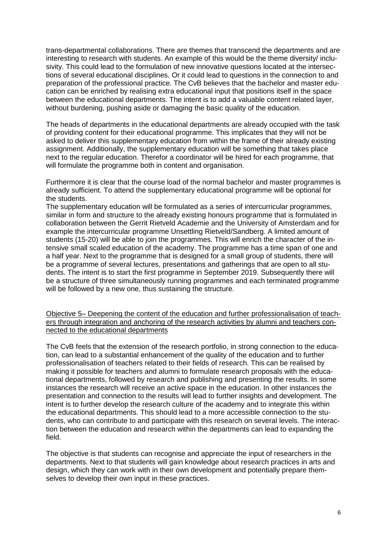trans-departmental collaborations. There are themes that transcend the departments and are interesting to research with students. An example of this would be the theme diversity/ inclusivity. This could lead to the formulation of new innovative questions located at the intersections of several educational disciplines. Or it could lead to questions in the connection to and preparation of the professional practice. The CvB believes that the bachelor and master education can be enriched by realising extra educational input that positions itself in the space between the educational departments. The intent is to add a valuable content related layer, without burdening, pushing aside or damaging the basic quality of the education.

The heads of departments in the educational departments are already occupied with the task of providing content for their educational programme. This implicates that they will not be asked to deliver this supplementary education from within the frame of their already existing assignment. Additionally, the supplementary education will be something that takes place next to the regular education. Therefor a coordinator will be hired for each programme, that will formulate the programme both in content and organisation.

Furthermore it is clear that the course load of the normal bachelor and master programmes is already sufficient. To attend the supplementary educational programme will be optional for the students.

The supplementary education will be formulated as a series of intercurricular programmes, similar in form and structure to the already existing honours programme that is formulated in collaboration between the Gerrit Rietveld Academie and the University of Amsterdam and for example the intercurricular programme Unsettling Rietveld/Sandberg. A limited amount of students (15-20) will be able to join the programmes. This will enrich the character of the intensive small scaled education of the academy. The programme has a time span of one and a half year. Next to the programme that is designed for a small group of students, there will be a programme of several lectures, presentations and gatherings that are open to all students. The intent is to start the first programme in September 2019. Subsequently there will be a structure of three simultaneously running programmes and each terminated programme will be followed by a new one, thus sustaining the structure.

Objective 5– Deepening the content of the education and further professionalisation of teachers through integration and anchoring of the research activities by alumni and teachers connected to the educational departments

The CvB feels that the extension of the research portfolio, in strong connection to the education, can lead to a substantial enhancement of the quality of the education and to further professionalisation of teachers related to their fields of research. This can be realised by making it possible for teachers and alumni to formulate research proposals with the educational departments, followed by research and publishing and presenting the results. In some instances the research will receive an active space in the education. In other instances the presentation and connection to the results will lead to further insights and development. The intent is to further develop the research culture of the academy and to integrate this within the educational departments. This should lead to a more accessible connection to the students, who can contribute to and participate with this research on several levels. The interaction between the education and research within the departments can lead to expanding the field.

The objective is that students can recognise and appreciate the input of researchers in the departments. Next to that students will gain knowledge about research practices in arts and design, which they can work with in their own development and potentially prepare themselves to develop their own input in these practices.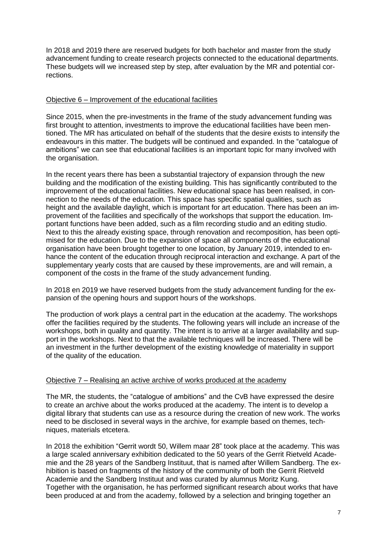In 2018 and 2019 there are reserved budgets for both bachelor and master from the study advancement funding to create research projects connected to the educational departments. These budgets will we increased step by step, after evaluation by the MR and potential corrections.

# Objective 6 – Improvement of the educational facilities

Since 2015, when the pre-investments in the frame of the study advancement funding was first brought to attention, investments to improve the educational facilities have been mentioned. The MR has articulated on behalf of the students that the desire exists to intensify the endeavours in this matter. The budgets will be continued and expanded. In the "catalogue of ambitions" we can see that educational facilities is an important topic for many involved with the organisation.

In the recent years there has been a substantial trajectory of expansion through the new building and the modification of the existing building. This has significantly contributed to the improvement of the educational facilities. New educational space has been realised, in connection to the needs of the education. This space has specific spatial qualities, such as height and the available daylight, which is important for art education. There has been an improvement of the facilities and specifically of the workshops that support the education. Important functions have been added, such as a film recording studio and an editing studio. Next to this the already existing space, through renovation and recomposition, has been optimised for the education. Due to the expansion of space all components of the educational organisation have been brought together to one location, by January 2019, intended to enhance the content of the education through reciprocal interaction and exchange. A part of the supplementary yearly costs that are caused by these improvements, are and will remain, a component of the costs in the frame of the study advancement funding.

In 2018 en 2019 we have reserved budgets from the study advancement funding for the expansion of the opening hours and support hours of the workshops.

The production of work plays a central part in the education at the academy. The workshops offer the facilities required by the students. The following years will include an increase of the workshops, both in quality and quantity. The intent is to arrive at a larger availability and support in the workshops. Next to that the available techniques will be increased. There will be an investment in the further development of the existing knowledge of materiality in support of the quality of the education.

## Objective 7 – Realising an active archive of works produced at the academy

The MR, the students, the "catalogue of ambitions" and the CvB have expressed the desire to create an archive about the works produced at the academy. The intent is to develop a digital library that students can use as a resource during the creation of new work. The works need to be disclosed in several ways in the archive, for example based on themes, techniques, materials etcetera.

In 2018 the exhibition "Gerrit wordt 50, Willem maar 28" took place at the academy. This was a large scaled anniversary exhibition dedicated to the 50 years of the Gerrit Rietveld Academie and the 28 years of the Sandberg Instituut, that is named after Willem Sandberg. The exhibition is based on fragments of the history of the community of both the Gerrit Rietveld Academie and the Sandberg Instituut and was curated by alumnus Moritz Kung. Together with the organisation, he has performed significant research about works that have been produced at and from the academy, followed by a selection and bringing together an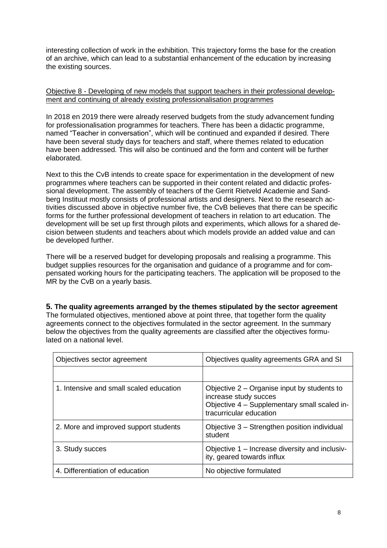interesting collection of work in the exhibition. This trajectory forms the base for the creation of an archive, which can lead to a substantial enhancement of the education by increasing the existing sources.

# Objective 8 - Developing of new models that support teachers in their professional development and continuing of already existing professionalisation programmes

In 2018 en 2019 there were already reserved budgets from the study advancement funding for professionalisation programmes for teachers. There has been a didactic programme, named "Teacher in conversation", which will be continued and expanded if desired. There have been several study days for teachers and staff, where themes related to education have been addressed. This will also be continued and the form and content will be further elaborated.

Next to this the CvB intends to create space for experimentation in the development of new programmes where teachers can be supported in their content related and didactic professional development. The assembly of teachers of the Gerrit Rietveld Academie and Sandberg Instituut mostly consists of professional artists and designers. Next to the research activities discussed above in objective number five, the CvB believes that there can be specific forms for the further professional development of teachers in relation to art education. The development will be set up first through pilots and experiments, which allows for a shared decision between students and teachers about which models provide an added value and can be developed further.

There will be a reserved budget for developing proposals and realising a programme. This budget supplies resources for the organisation and guidance of a programme and for compensated working hours for the participating teachers. The application will be proposed to the MR by the CvB on a yearly basis.

**5. The quality agreements arranged by the themes stipulated by the sector agreement** The formulated objectives, mentioned above at point three, that together form the quality agreements connect to the objectives formulated in the sector agreement. In the summary below the objectives from the quality agreements are classified after the objectives formulated on a national level.

| Objectives sector agreement             | Objectives quality agreements GRA and SI                                                                                                          |
|-----------------------------------------|---------------------------------------------------------------------------------------------------------------------------------------------------|
|                                         |                                                                                                                                                   |
| 1. Intensive and small scaled education | Objective $2 -$ Organise input by students to<br>increase study succes<br>Objective 4 - Supplementary small scaled in-<br>tracurricular education |
| 2. More and improved support students   | Objective 3 – Strengthen position individual<br>student                                                                                           |
| 3. Study succes                         | Objective 1 – Increase diversity and inclusiv-<br>ity, geared towards influx                                                                      |
| 4. Differentiation of education         | No objective formulated                                                                                                                           |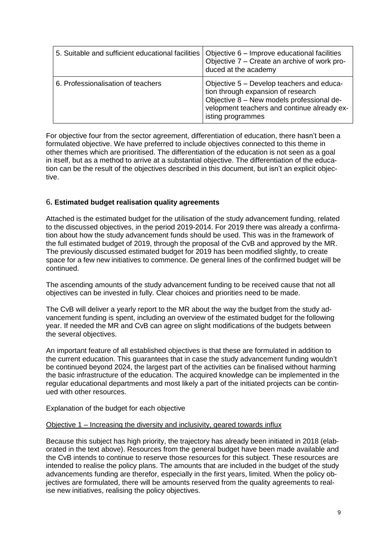| 5. Suitable and sufficient educational facilities | Objective 6 – Improve educational facilities<br>Objective 7 – Create an archive of work pro-<br>duced at the academy                                                                             |
|---------------------------------------------------|--------------------------------------------------------------------------------------------------------------------------------------------------------------------------------------------------|
| 6. Professionalisation of teachers                | Objective 5 – Develop teachers and educa-<br>tion through expansion of research<br>Objective 8 - New models professional de-<br>velopment teachers and continue already ex-<br>isting programmes |

For objective four from the sector agreement, differentiation of education, there hasn't been a formulated objective. We have preferred to include objectives connected to this theme in other themes which are prioritised. The differentiation of the education is not seen as a goal in itself, but as a method to arrive at a substantial objective. The differentiation of the education can be the result of the objectives described in this document, but isn't an explicit objective.

# 6**. Estimated budget realisation quality agreements**

Attached is the estimated budget for the utilisation of the study advancement funding, related to the discussed objectives, in the period 2019-2014. For 2019 there was already a confirmation about how the study advancement funds should be used. This was in the framework of the full estimated budget of 2019, through the proposal of the CvB and approved by the MR. The previously discussed estimated budget for 2019 has been modified slightly, to create space for a few new initiatives to commence. De general lines of the confirmed budget will be continued.

The ascending amounts of the study advancement funding to be received cause that not all objectives can be invested in fully. Clear choices and priorities need to be made.

The CvB will deliver a yearly report to the MR about the way the budget from the study advancement funding is spent, including an overview of the estimated budget for the following year. If needed the MR and CvB can agree on slight modifications of the budgets between the several objectives.

An important feature of all established objectives is that these are formulated in addition to the current education. This guarantees that in case the study advancement funding wouldn't be continued beyond 2024, the largest part of the activities can be finalised without harming the basic infrastructure of the education. The acquired knowledge can be implemented in the regular educational departments and most likely a part of the initiated projects can be continued with other resources.

Explanation of the budget for each objective

## Objective 1 – Increasing the diversity and inclusivity, geared towards influx

Because this subject has high priority, the trajectory has already been initiated in 2018 (elaborated in the text above). Resources from the general budget have been made available and the CvB intends to continue to reserve those resources for this subject. These resources are intended to realise the policy plans. The amounts that are included in the budget of the study advancements funding are therefor, especially in the first years, limited. When the policy objectives are formulated, there will be amounts reserved from the quality agreements to realise new initiatives, realising the policy objectives.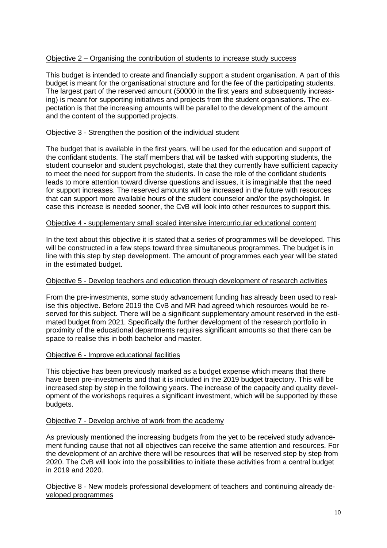# Objective 2 – Organising the contribution of students to increase study success

This budget is intended to create and financially support a student organisation. A part of this budget is meant for the organisational structure and for the fee of the participating students. The largest part of the reserved amount (50000 in the first years and subsequently increasing) is meant for supporting initiatives and projects from the student organisations. The expectation is that the increasing amounts will be parallel to the development of the amount and the content of the supported projects.

# Objective 3 - Strengthen the position of the individual student

The budget that is available in the first years, will be used for the education and support of the confidant students. The staff members that will be tasked with supporting students, the student counselor and student psychologist, state that they currently have sufficient capacity to meet the need for support from the students. In case the role of the confidant students leads to more attention toward diverse questions and issues, it is imaginable that the need for support increases. The reserved amounts will be increased in the future with resources that can support more available hours of the student counselor and/or the psychologist. In case this increase is needed sooner, the CvB will look into other resources to support this.

## Objective 4 - supplementary small scaled intensive intercurricular educational content

In the text about this objective it is stated that a series of programmes will be developed. This will be constructed in a few steps toward three simultaneous programmes. The budget is in line with this step by step development. The amount of programmes each year will be stated in the estimated budget.

## Objective 5 - Develop teachers and education through development of research activities

From the pre-investments, some study advancement funding has already been used to realise this objective. Before 2019 the CvB and MR had agreed which resources would be reserved for this subject. There will be a significant supplementary amount reserved in the estimated budget from 2021. Specifically the further development of the research portfolio in proximity of the educational departments requires significant amounts so that there can be space to realise this in both bachelor and master.

## Objective 6 - Improve educational facilities

This objective has been previously marked as a budget expense which means that there have been pre-investments and that it is included in the 2019 budget trajectory. This will be increased step by step in the following years. The increase of the capacity and quality development of the workshops requires a significant investment, which will be supported by these budgets.

## Objective 7 - Develop archive of work from the academy

As previously mentioned the increasing budgets from the yet to be received study advancement funding cause that not all objectives can receive the same attention and resources. For the development of an archive there will be resources that will be reserved step by step from 2020. The CvB will look into the possibilities to initiate these activities from a central budget in 2019 and 2020.

Objective 8 - New models professional development of teachers and continuing already developed programmes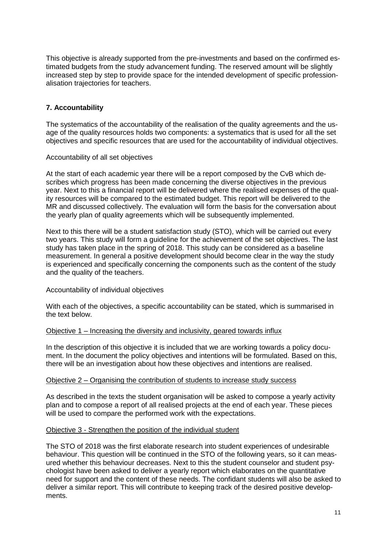This objective is already supported from the pre-investments and based on the confirmed estimated budgets from the study advancement funding. The reserved amount will be slightly increased step by step to provide space for the intended development of specific professionalisation trajectories for teachers.

# **7. Accountability**

The systematics of the accountability of the realisation of the quality agreements and the usage of the quality resources holds two components: a systematics that is used for all the set objectives and specific resources that are used for the accountability of individual objectives.

#### Accountability of all set objectives

At the start of each academic year there will be a report composed by the CvB which describes which progress has been made concerning the diverse objectives in the previous year. Next to this a financial report will be delivered where the realised expenses of the quality resources will be compared to the estimated budget. This report will be delivered to the MR and discussed collectively. The evaluation will form the basis for the conversation about the yearly plan of quality agreements which will be subsequently implemented.

Next to this there will be a student satisfaction study (STO), which will be carried out every two years. This study will form a guideline for the achievement of the set objectives. The last study has taken place in the spring of 2018. This study can be considered as a baseline measurement. In general a positive development should become clear in the way the study is experienced and specifically concerning the components such as the content of the study and the quality of the teachers.

#### Accountability of individual objectives

With each of the objectives, a specific accountability can be stated, which is summarised in the text below.

#### Objective 1 – Increasing the diversity and inclusivity, geared towards influx

In the description of this objective it is included that we are working towards a policy document. In the document the policy objectives and intentions will be formulated. Based on this, there will be an investigation about how these objectives and intentions are realised.

#### Objective 2 – Organising the contribution of students to increase study success

As described in the texts the student organisation will be asked to compose a yearly activity plan and to compose a report of all realised projects at the end of each year. These pieces will be used to compare the performed work with the expectations.

#### Objective 3 - Strengthen the position of the individual student

The STO of 2018 was the first elaborate research into student experiences of undesirable behaviour. This question will be continued in the STO of the following years, so it can measured whether this behaviour decreases. Next to this the student counselor and student psychologist have been asked to deliver a yearly report which elaborates on the quantitative need for support and the content of these needs. The confidant students will also be asked to deliver a similar report. This will contribute to keeping track of the desired positive developments.